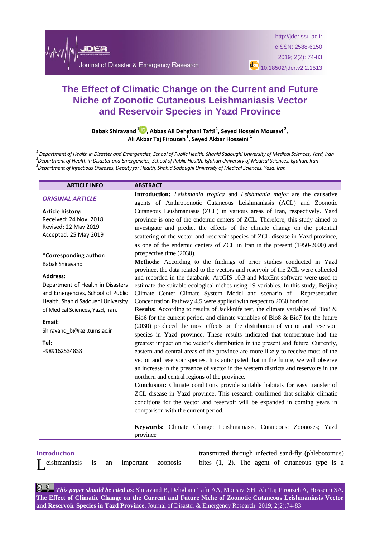

# **The Effect of Climatic Change on the Current and Future Niche of Zoonotic Cutaneous Leishmaniasis Vector and Reservoir Species in Yazd Province**

**Babak Shiravand [1](https://orcid.org/0000-0003-2816-4050) , Abbas Ali Dehghani Tafti <sup>1</sup> , Seyed Hossein Mousavi <sup>2</sup> , Ali Akbar Taj Firouzeh <sup>3</sup> , Seyed Akbar Hosseini <sup>1</sup>**

*1 Department of Health in Disaster and Emergencies, School of Public Health, Shahid Sadoughi University of Medical Sciences, Yazd, Iran 2 Department of Health in Disaster and Emergencies, School of Public Health, Isfahan University of Medical Sciences, Isfahan, Iran 3 Department of Infectious Diseases, Deputy for Health, Shahid Sadoughi University of Medical Sciences, Yazd, Iran*

| <b>ARTICLE INFO</b>                           | <b>ABSTRACT</b>                                                                                                                                                  |
|-----------------------------------------------|------------------------------------------------------------------------------------------------------------------------------------------------------------------|
| <b>ORIGINAL ARTICLE</b>                       | Introduction: Leishmania tropica and Leishmania major are the causative                                                                                          |
|                                               | agents of Anthroponotic Cutaneous Leishmaniasis (ACL) and Zoonotic                                                                                               |
| <b>Article history:</b>                       | Cutaneous Leishmaniasis (ZCL) in various areas of Iran, respectively. Yazd                                                                                       |
| Received: 24 Nov. 2018                        | province is one of the endemic centers of ZCL. Therefore, this study aimed to                                                                                    |
| Revised: 22 May 2019<br>Accepted: 25 May 2019 | investigate and predict the effects of the climate change on the potential                                                                                       |
|                                               | scattering of the vector and reservoir species of ZCL disease in Yazd province,                                                                                  |
|                                               | as one of the endemic centers of ZCL in Iran in the present (1950-2000) and                                                                                      |
| *Corresponding author:                        | prospective time (2030).                                                                                                                                         |
| <b>Babak Shiravand</b>                        | Methods: According to the findings of prior studies conducted in Yazd<br>province, the data related to the vectors and reservoir of the ZCL were collected       |
| <b>Address:</b>                               | and recorded in the databank. ArcGIS 10.3 and MaxEnt software were used to                                                                                       |
| Department of Health in Disasters             | estimate the suitable ecological niches using 19 variables. In this study, Beijing                                                                               |
| and Emergencies, School of Public             | Climate Center Climate System Model and scenario of<br>Representative                                                                                            |
| Health, Shahid Sadoughi University            | Concentration Pathway 4.5 were applied with respect to 2030 horizon.                                                                                             |
| of Medical Sciences, Yazd, Iran.              | Results: According to results of Jackknife test, the climate variables of Bio8 &                                                                                 |
| Email:<br>Shiravand_b@razi.tums.ac.ir         | Bio6 for the current period, and climate variables of Bio8 & Bio7 for the future                                                                                 |
|                                               | (2030) produced the most effects on the distribution of vector and reservoir                                                                                     |
| Tel:                                          | species in Yazd province. These results indicated that temperature had the<br>greatest impact on the vector's distribution in the present and future. Currently, |
| +989162534838                                 | eastern and central areas of the province are more likely to receive most of the                                                                                 |
|                                               | vector and reservoir species. It is anticipated that in the future, we will observe                                                                              |
|                                               | an increase in the presence of vector in the western districts and reservoirs in the                                                                             |
|                                               | northern and central regions of the province.                                                                                                                    |
|                                               | Conclusion: Climate conditions provide suitable habitats for easy transfer of                                                                                    |
|                                               | ZCL disease in Yazd province. This research confirmed that suitable climatic                                                                                     |
|                                               | conditions for the vector and reservoir will be expanded in coming years in                                                                                      |
|                                               | comparison with the current period.                                                                                                                              |
|                                               | Keywords: Climate Change; Leishmaniasis, Cutaneous; Zoonoses; Yazd<br>province                                                                                   |
|                                               |                                                                                                                                                                  |

### **Introduction**

eishmaniasis is an important zoonosis

transmitted through infected sand-fly (phlebotomus) bites  $(1, 2)$ . The agent of cutaneous type is a

*This paper should be cited a*s: Shiravand B, Dehghani Tafti AA, Mousavi SH, Ali Taj Firouzeh A, Hosseini SA**. The Effect of Climatic Change on the Current and Future Niche of Zoonotic Cutaneous Leishmaniasis Vector and Reservoir Species in Yazd Province.** Journal of Disaster & Emergency Research. 2019; 2(2):74-83.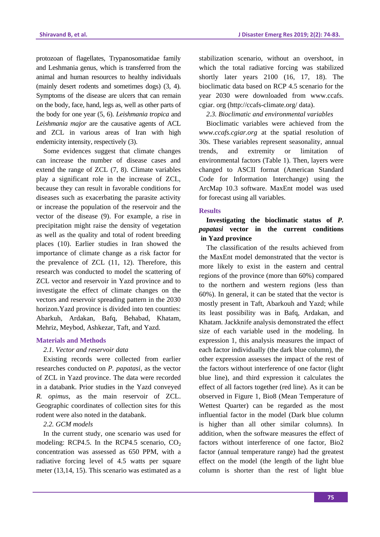protozoan of flagellates, Trypanosomatidae family and Leshmania genus, which is transferred from the animal and human resources to healthy individuals (mainly desert rodents and sometimes dogs) (3, 4). Symptoms of the disease are ulcers that can remain on the body, face, hand, legs as, well as other parts of the body for one year (5, 6). *Leishmania tropica* and *Leishmania major* are the causative agents of ACL and ZCL in various areas of Iran with high endemicity intensity, respectively (3).

Some evidences suggest that climate changes can increase the number of disease cases and extend the range of ZCL (7, 8). Climate variables play a significant role in the increase of ZCL, because they can result in favorable conditions for diseases such as exacerbating the parasite activity or increase the population of the reservoir and the vector of the disease (9). For example, a rise in precipitation might raise the density of vegetation as well as the quality and total of rodent breeding places (10). Earlier studies in Iran showed the importance of climate change as a risk factor for the prevalence of ZCL (11, 12). Therefore, this research was conducted to model the scattering of ZCL vector and reservoir in Yazd province and to investigate the effect of climate changes on the vectors and reservoir spreading pattern in the 2030 horizon.Yazd province is divided into ten counties: Abarkuh, Ardakan, Bafq, Behabad, Khatam, Mehriz, Meybod, Ashkezar, Taft, and Yazd.

### **Materials and Methods**

# *2.1. Vector and reservoir data*

Existing records were collected from earlier researches conducted on *P. papatasi*, as the vector of ZCL in Yazd province. The data were recorded in a databank. Prior studies in the Yazd conveyed *R. opimus*, as the main reservoir of ZCL. Geographic coordinates of collection sites for this rodent were also noted in the databank.

# *2.2. GCM models*

In the current study, one scenario was used for modeling: RCP4.5. In the RCP4.5 scenario,  $CO<sub>2</sub>$ concentration was assessed as 650 PPM, with a radiative forcing level of 4.5 watts per square meter (13,14, 15). This scenario was estimated as a stabilization scenario, without an overshoot, in which the total radiative forcing was stabilized shortly later years 2100 (16, 17, 18). The bioclimatic data based on RCP 4.5 scenario for the year 2030 were downloaded from www.ccafs. cgiar. org [\(http://ccafs-climate.org/ data\)](http://ccafs-climate.org/%20data).

## *2.3. Bioclimatic and environmental variables*

Bioclimatic variables were achieved from the *[www.ccafs.cgiar.org](http://www.ccafs.cgiar.org/)* at the spatial resolution of 30s. These variables represent seasonality, annual trends, and extremity or limitation of environmental factors (Table 1). Then, layers were changed to ASCII format (American Standard Code for Information Interchange) using the ArcMap 10.3 software. MaxEnt model was used for forecast using all variables.

## **Results**

# **Investigating the bioclimatic status of** *P. papatasi* **vector in the current conditions in Yazd province**

The classification of the results achieved from the MaxEnt model demonstrated that the vector is more likely to exist in the eastern and central regions of the province (more than 60%) compared to the northern and western regions (less than 60%). In general, it can be stated that the vector is mostly present in Taft, Abarkouh and Yazd; while its least possibility was in Bafq, Ardakan, and Khatam. Jackknife analysis demonstrated the effect size of each variable used in the modeling. In expression 1, this analysis measures the impact of each factor individually (the dark blue column), the other expression assesses the impact of the rest of the factors without interference of one factor (light blue line), and third expression it calculates the effect of all factors together (red line). As it can be observed in Figure 1, Bio8 (Mean Temperature of Wettest Quarter) can be regarded as the most influential factor in the model (Dark blue column is higher than all other similar columns). In addition, when the software measures the effect of factors without interference of one factor, Bio2 factor (annual temperature range) had the greatest effect on the model (the length of the light blue column is shorter than the rest of light blue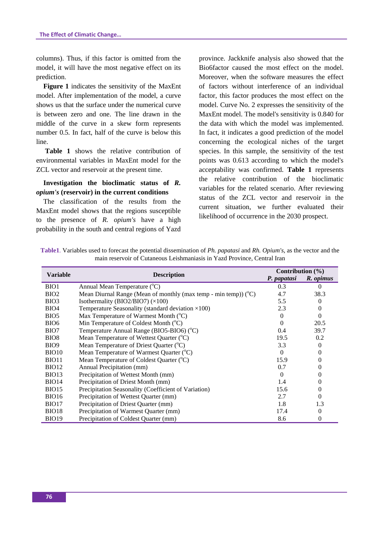columns). Thus, if this factor is omitted from the model, it will have the most negative effect on its prediction.

**Figure 1** indicates the sensitivity of the MaxEnt model. After implementation of the model, a curve shows us that the surface under the numerical curve is between zero and one. The line drawn in the middle of the curve in a skew form represents number 0.5. In fact, half of the curve is below this line.

**Table 1** shows the relative contribution of environmental variables in MaxEnt model for the ZCL vector and reservoir at the present time.

# **Investigation the bioclimatic status of** *R. opium's* **(reservoir) in the current conditions**

The classification of the results from the MaxEnt model shows that the regions susceptible to the presence of *R. opium's* have a high probability in the south and central regions of Yazd province. Jackknife analysis also showed that the Bio6factor caused the most effect on the model. Moreover, when the software measures the effect of factors without interference of an individual factor, this factor produces the most effect on the model. Curve No. 2 expresses the sensitivity of the MaxEnt model. The model's sensitivity is 0.840 for the data with which the model was implemented. In fact, it indicates a good prediction of the model concerning the ecological niches of the target species. In this sample, the sensitivity of the test points was 0.613 according to which the model's acceptability was confirmed. **Table 1** represents the relative contribution of the bioclimatic variables for the related scenario. After reviewing status of the ZCL vector and reservoir in the current situation, we further evaluated their likelihood of occurrence in the 2030 prospect.

| <b>Variable</b>   |                                                                          | Contribution $(\% )$ |           |
|-------------------|--------------------------------------------------------------------------|----------------------|-----------|
|                   | <b>Description</b>                                                       | P. papatasi          | R. opimus |
| BIO <sub>1</sub>  | Annual Mean Temperature (°C)                                             | 0.3                  | $_{0}$    |
| BIO <sub>2</sub>  | Mean Diurnal Range (Mean of monthly (max temp - min temp)) $(^{\circ}C)$ | 4.7                  | 38.3      |
| BIO <sub>3</sub>  | Isothermality (BIO2/BIO7) $(\times 100)$                                 | 5.5                  | $\theta$  |
| BIO <sub>4</sub>  | Temperature Seasonality (standard deviation $\times$ 100)                | 2.3                  | 0         |
| BIO <sub>5</sub>  | Max Temperature of Warmest Month (°C)                                    | 0                    | $\theta$  |
| BIO <sub>6</sub>  | Min Temperature of Coldest Month $({}^{\circ}C)$                         | 0                    | 20.5      |
| BIO7              | Temperature Annual Range (BIO5-BIO6) (°C)                                | 0.4                  | 39.7      |
| BIO <sub>8</sub>  | Mean Temperature of Wettest Quarter (°C)                                 | 19.5                 | 0.2       |
| BIO <sub>9</sub>  | Mean Temperature of Driest Quarter (°C)                                  | 3.3                  | 0         |
| <b>BIO10</b>      | Mean Temperature of Warmest Quarter (°C)                                 | 0                    | 0         |
| BIO <sub>11</sub> | Mean Temperature of Coldest Quarter (°C)                                 | 15.9                 | 0         |
| BIO <sub>12</sub> | Annual Precipitation (mm)                                                | 0.7                  | 0         |
| <b>BIO13</b>      | Precipitation of Wettest Month (mm)                                      | 0                    |           |
| BIO14             | Precipitation of Driest Month (mm)                                       | 1.4                  | 0         |
| BIO <sub>15</sub> | Precipitation Seasonality (Coefficient of Variation)                     | 15.6                 | 0         |
| <b>BIO16</b>      | Precipitation of Wettest Quarter (mm)                                    | 2.7                  | 0         |
| BIO17             | Precipitation of Driest Quarter (mm)                                     | 1.8                  | 1.3       |
| BIO <sub>18</sub> | Precipitation of Warmest Quarter (mm)                                    | 17.4                 | 0         |
| <b>BIO19</b>      | Precipitation of Coldest Quarter (mm)                                    | 8.6                  | 0         |

**Table1**. Variables used to forecast the potential dissemination of *Ph. papatasi* and *Rh. Opium's*, as the vector and the main reservoir of Cutaneous Leishmaniasis in Yazd Province, Central Iran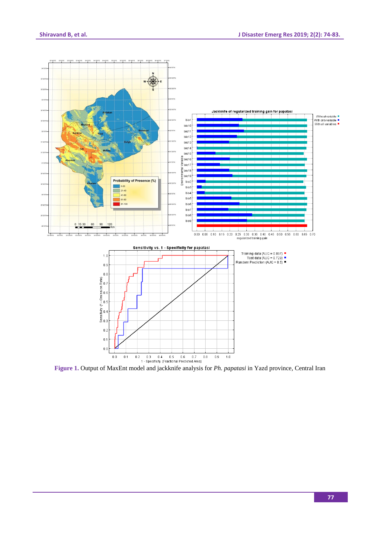

**Figure 1.** Output of MaxEnt model and jackknife analysis for *Ph. papatasi* in Yazd province, Central Iran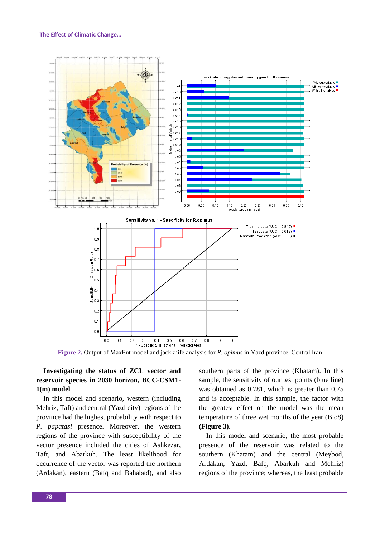

**Figure 2.** Output of MaxEnt model and jackknife analysis for *R. opimus* in Yazd province, Central Iran

# **Investigating the status of ZCL vector and reservoir species in 2030 horizon, BCC-CSM1- 1(m) model**

In this model and scenario, western (including Mehriz, Taft) and central (Yazd city) regions of the province had the highest probability with respect to *P. papatasi* presence. Moreover, the western regions of the province with susceptibility of the vector presence included the cities of Ashkezar, Taft, and Abarkuh. The least likelihood for occurrence of the vector was reported the northern (Ardakan), eastern (Bafq and Bahabad), and also

southern parts of the province (Khatam). In this sample, the sensitivity of our test points (blue line) was obtained as 0.781, which is greater than 0.75 and is acceptable. In this sample, the factor with the greatest effect on the model was the mean temperature of three wet months of the year (Bio8) **(Figure 3)**.

In this model and scenario, the most probable presence of the reservoir was related to the southern (Khatam) and the central (Meybod, Ardakan, Yazd, Bafq, Abarkuh and Mehriz) regions of the province; whereas, the least probable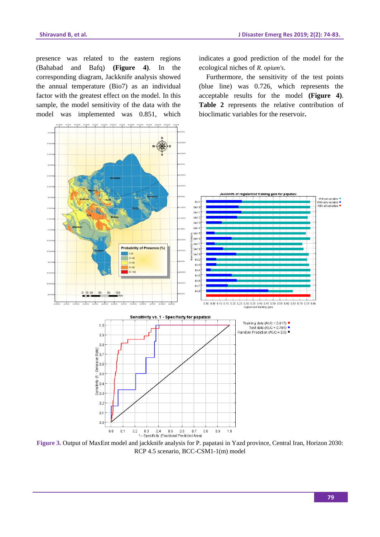presence was related to the eastern regions (Bahabad and Bafq) **(Figure 4)**. In the corresponding diagram, Jackknife analysis showed the annual temperature (Bio7) as an individual factor with the greatest effect on the model. In this sample, the model sensitivity of the data with the model was implemented was 0.851, which indicates a good prediction of the model for the ecological niches of *R. opium's*.

Furthermore, the sensitivity of the test points (blue line) was 0.726, which represents the acceptable results for the model **(Figure 4)**. **Table 2** represents the relative contribution of bioclimatic variables for the reservoir**.**



**Figure 3.** Output of MaxEnt model and jackknife analysis for P. papatasi in Yazd province, Central Iran, Horizon 2030: RCP 4.5 scenario, BCC-CSM1-1(m) model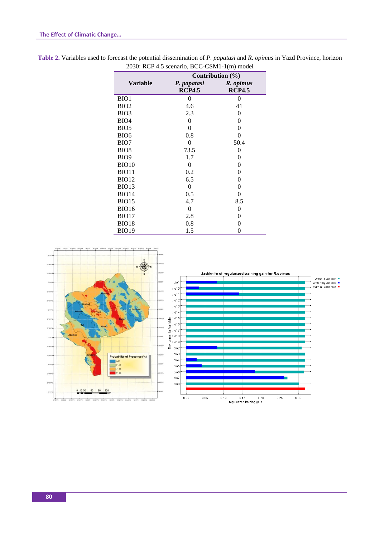|                   |                      | $50 - 50 + 11$ , $10 - 50$ |  |
|-------------------|----------------------|----------------------------|--|
|                   | Contribution $(\% )$ |                            |  |
| <b>Variable</b>   | P. papatasi          | R. opimus                  |  |
|                   | <b>RCP4.5</b>        | <b>RCP4.5</b>              |  |
| BIO1              | 0                    | 0                          |  |
| BIO <sub>2</sub>  | 4.6                  | 41                         |  |
| BIO <sub>3</sub>  | 2.3                  | 0                          |  |
| BIO <sub>4</sub>  | $\theta$             | 0                          |  |
| BIO <sub>5</sub>  | $\theta$             | 0                          |  |
| BIO <sub>6</sub>  | 0.8                  | 0                          |  |
| BIO7              | $\theta$             | 50.4                       |  |
| BIO <sub>8</sub>  | 73.5                 | 0                          |  |
| BIO <sub>9</sub>  | 1.7                  | 0                          |  |
| <b>BIO10</b>      | $\theta$             | 0                          |  |
| <b>BIO11</b>      | 0.2                  | 0                          |  |
| BIO <sub>12</sub> | 6.5                  | 0                          |  |
| BIO <sub>13</sub> | $\theta$             | 0                          |  |
| <b>BIO14</b>      | 0.5                  | 0                          |  |
| <b>BIO15</b>      | 4.7                  | 8.5                        |  |
| <b>BIO16</b>      | $\theta$             | 0                          |  |
| BIO17             | 2.8                  | 0                          |  |
| <b>BIO18</b>      | 0.8                  | 0                          |  |
| <b>BIO19</b>      | 1.5                  | 0                          |  |



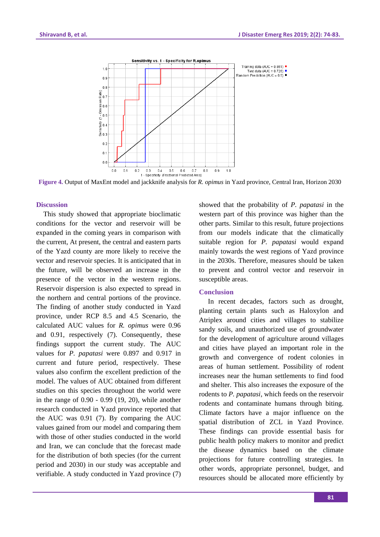

**Figure 4.** Output of MaxEnt model and jackknife analysis for *R. opimus* in Yazd province, Central Iran, Horizon 2030

#### **Discussion**

This study showed that appropriate bioclimatic conditions for the vector and reservoir will be expanded in the coming years in comparison with the current, At present, the central and eastern parts of the Yazd county are more likely to receive the vector and reservoir species. It is anticipated that in the future, will be observed an increase in the presence of the vector in the western regions. Reservoir dispersion is also expected to spread in the northern and central portions of the province. The finding of another study conducted in Yazd province, under RCP 8.5 and 4.5 Scenario, the calculated AUC values for *R. opimus* were 0.96 and 0.91, respectively (7). Consequently, these findings support the current study. The AUC values for *P. papatasi* were 0.897 and 0.917 in current and future period, respectively. These values also confirm the excellent prediction of the model. The values of AUC obtained from different studies on this species throughout the world were in the range of 0.90 - 0.99 (19, 20), while another research conducted in Yazd province reported that the AUC was 0.91 (7). By comparing the AUC values gained from our model and comparing them with those of other studies conducted in the world and Iran, we can conclude that the forecast made for the distribution of both species (for the current period and 2030) in our study was acceptable and verifiable. A study conducted in Yazd province (7)

showed that the probability of *P. papatasi* in the western part of this province was higher than the other parts. Similar to this result, future projections from our models indicate that the climatically suitable region for *P. papatasi* would expand mainly towards the west regions of Yazd province in the 2030s. Therefore, measures should be taken to prevent and control vector and reservoir in susceptible areas.

### **Conclusion**

In recent decades, factors such as drought, planting certain plants such as Haloxylon and Atriplex around cities and villages to stabilize sandy soils, and unauthorized use of groundwater for the development of agriculture around villages and cities have played an important role in the growth and convergence of rodent colonies in areas of human settlement. Possibility of rodent increases near the human settlements to find food and shelter. This also increases the exposure of the rodents to *P. papatasi*, which feeds on the reservoir rodents and contaminate humans through biting. Climate factors have a major influence on the spatial distribution of ZCL in Yazd Province. These findings can provide essential basis for public health policy makers to monitor and predict the disease dynamics based on the climate projections for future controlling strategies. In other words, appropriate personnel, budget, and resources should be allocated more efficiently by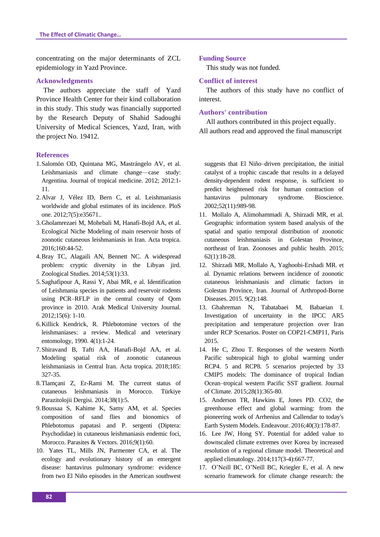concentrating on the major determinants of ZCL epidemiology in Yazd Province.

### **Acknowledgments**

The authors appreciate the staff of Yazd Province Health Center for their kind collaboration in this study. This study was financially supported by the Research Deputy of Shahid Sadoughi University of Medical Sciences, Yazd, Iran, with the project No. 19412.

#### **References**

- 1.Salomón OD, Quintana MG, Mastrángelo AV, et al. Leishmaniasis and climate change—case study: Argentina. Journal of tropical medicine. 2012; 2012:1- 11.
- 2.Alvar J, Vélez ID, Bern C, et al. Leishmaniasis worldwide and global estimates of its incidence. PloS one. 2012;7(5):e35671..
- 3.Gholamrezaei M, Mohebali M, Hanafi-Bojd AA, et al. Ecological Niche Modeling of main reservoir hosts of zoonotic cutaneous leishmaniasis in Iran. Acta tropica. 2016;160:44-52.
- 4.Bray TC, Alagaili AN, Bennett NC. A widespread problem: cryptic diversity in the Libyan jird. Zoological Studies. 2014;53(1):33.
- 5.Saghafipour A, Rassi Y, Abai MR, e al. Identification of Leishmania species in patients and reservoir rodents using PCR–RFLP in the central county of Qom province in 2010. Arak Medical University Journal. 2012;15(6): 1-10.
- 6.Killick Kendrick, R. Phlebotomine vectors of the leishmaniases: a review. Medical and veterinary entomology, 1990. 4(1):1-24.
- 7.Shiravand B, Tafti AA, Hanafi-Bojd AA, et al. Modeling spatial risk of zoonotic cutaneous leishmaniasis in Central Iran. Acta tropica. 2018;185: 327-35.
- 8.Tlamçani Z, Er-Rami M. The current status of cutaneous leishmaniasis in Morocco. Türkiye Parazitolojii Dergisi. 2014;38(1):5.
- 9.Boussaa S, Kahime K, Samy AM, et al. Species composition of sand flies and bionomics of Phlebotomus papatasi and P. sergenti (Diptera: Psychodidae) in cutaneous leishmaniasis endemic foci, Morocco. Parasites & Vectors. 2016;9(1):60.
- 10. Yates TL, Mills JN, Parmenter CA, et al. The ecology and evolutionary history of an emergent disease: hantavirus pulmonary syndrome: evidence from two El Niño episodes in the American southwest

#### **Funding Source**

This study was not funded.

#### **Conflict of interest**

The authors of this study have no conflict of interest.

#### **Authors' contribution**

All authors contributed in this project equally. All authors read and approved the final manuscript

suggests that El Niño–driven precipitation, the initial catalyst of a trophic cascade that results in a delayed density-dependent rodent response, is sufficient to predict heightened risk for human contraction of hantavirus pulmonary syndrome. Bioscience. 2002;52(11):989-98.

- 11. Mollalo A, Alimohammadi A, Shirzadi MR, et al. Geographic information system based analysis of the spatial and spatio temporal distribution of zoonotic cutaneous leishmaniasis in Golestan Province, northeast of Iran. Zoonoses and public health. 2015; 62(1):18-28.
- 12. Shirzadi MR, Mollalo A, Yaghoobi-Ershadi MR. et al. Dynamic relations between incidence of zoonotic cutaneous leishmaniasis and climatic factors in Golestan Province, Iran. Journal of Arthropod-Borne Diseases. 2015. 9(2):148.
- 13. Ghahreman N, Tabatabaei M, Babaeian I. Investigation of uncertainty in the IPCC AR5 precipitation and temperature projection over Iran under RCP Scenarios. Poster on COP21-CMP11, Paris 2015.
- 14. He C, Zhou T. Responses of the western North Pacific subtropical high to global warming under RCP4. 5 and RCP8. 5 scenarios projected by 33 CMIP5 models: The dominance of tropical Indian Ocean–tropical western Pacific SST gradient. Journal of Climate. 2015;28(1):365-80.
- 15. Anderson TR, Hawkins E, Jones PD. CO2, the greenhouse effect and global warming: from the pioneering work of Arrhenius and Callendar to today's Earth System Models. Endeavour. 2016;40(3):178-87.
- 16. Lee JW, Hong SY. Potential for added value to downscaled climate extremes over Korea by increased resolution of a regional climate model. Theoretical and applied climatology. 2014;117(3-4):667-77.
- 17. O'Neill BC, O'Neill BC, Kriegler E, et al. A new scenario framework for climate change research: the